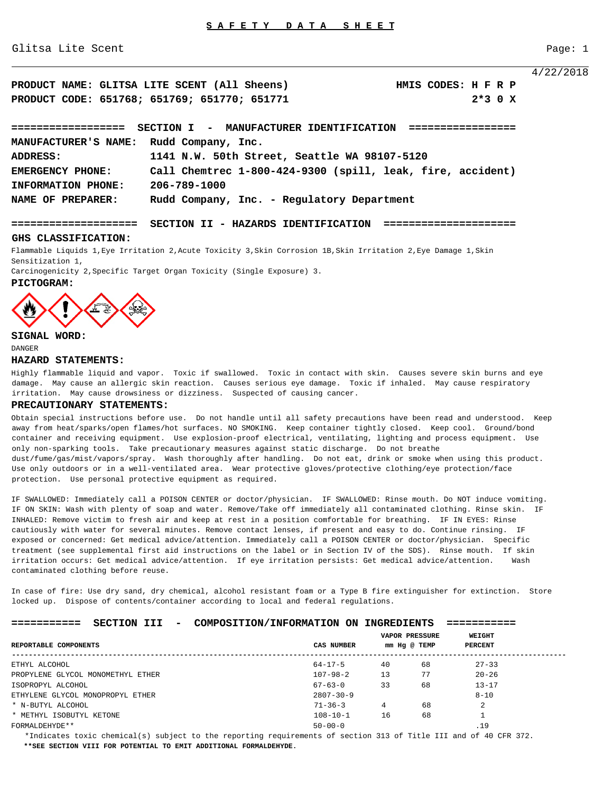Glitsa Lite Scent Page: 1

4/22/2018

| PRODUCT NAME: GLITSA LITE SCENT (All Sheens)       | HMIS CODES: H F R P |
|----------------------------------------------------|---------------------|
| PRODUCT CODE: 651768; 651769; 651770; 651771       | $2*3$ 0 X           |
|                                                    |                     |
| SECTION I - MANUFACTURER IDENTIFICATION ========== |                     |
| MANUFACTURER'S NAME: Rudd Company, Inc.            |                     |

**ADDRESS: 1141 N.W. 50th Street, Seattle WA 98107-5120 EMERGENCY PHONE: Call Chemtrec 1-800-424-9300 (spill, leak, fire, accident) INFORMATION PHONE: 206-789-1000 NAME OF PREPARER: Rudd Company, Inc. - Regulatory Department**

**==================== SECTION II - HAZARDS IDENTIFICATION =====================** 

# **GHS CLASSIFICATION:**

Flammable Liquids 1,Eye Irritation 2,Acute Toxicity 3,Skin Corrosion 1B,Skin Irritation 2,Eye Damage 1,Skin Sensitization 1,

Carcinogenicity 2,Specific Target Organ Toxicity (Single Exposure) 3.





# **SIGNAL WORD:**

DANGER

# **HAZARD STATEMENTS:**

Highly flammable liquid and vapor. Toxic if swallowed. Toxic in contact with skin. Causes severe skin burns and eye damage. May cause an allergic skin reaction. Causes serious eye damage. Toxic if inhaled. May cause respiratory irritation. May cause drowsiness or dizziness. Suspected of causing cancer.

## **PRECAUTIONARY STATEMENTS:**

Obtain special instructions before use. Do not handle until all safety precautions have been read and understood. Keep away from heat/sparks/open flames/hot surfaces. NO SMOKING. Keep container tightly closed. Keep cool. Ground/bond container and receiving equipment. Use explosion-proof electrical, ventilating, lighting and process equipment. Use only non-sparking tools. Take precautionary measures against static discharge. Do not breathe dust/fume/gas/mist/vapors/spray. Wash thoroughly after handling. Do not eat, drink or smoke when using this product. Use only outdoors or in a well-ventilated area. Wear protective gloves/protective clothing/eye protection/face protection. Use personal protective equipment as required.

IF SWALLOWED: Immediately call a POISON CENTER or doctor/physician. IF SWALLOWED: Rinse mouth. Do NOT induce vomiting. IF ON SKIN: Wash with plenty of soap and water. Remove/Take off immediately all contaminated clothing. Rinse skin. IF INHALED: Remove victim to fresh air and keep at rest in a position comfortable for breathing. IF IN EYES: Rinse cautiously with water for several minutes. Remove contact lenses, if present and easy to do. Continue rinsing. IF exposed or concerned: Get medical advice/attention. Immediately call a POISON CENTER or doctor/physician. Specific treatment (see supplemental first aid instructions on the label or in Section IV of the SDS). Rinse mouth. If skin irritation occurs: Get medical advice/attention. If eye irritation persists: Get medical advice/attention. Wash contaminated clothing before reuse.

In case of fire: Use dry sand, dry chemical, alcohol resistant foam or a Type B fire extinguisher for extinction. Store locked up. Dispose of contents/container according to local and federal regulations.

| ___________<br>___________ | SECTION III |  | COMPOSITION/INFORMATION ON INGREDIENTS |  |  | ____________<br>___________ |
|----------------------------|-------------|--|----------------------------------------|--|--|-----------------------------|
|----------------------------|-------------|--|----------------------------------------|--|--|-----------------------------|

|                                   |                 | <b>VAPOR PRESSURE</b> |    | WEIGHT         |
|-----------------------------------|-----------------|-----------------------|----|----------------|
| REPORTABLE COMPONENTS             | CAS NUMBER      | mm Hg @ TEMP          |    | <b>PERCENT</b> |
| ETHYL ALCOHOL                     | $64 - 17 - 5$   | 40                    | 68 | $27 - 33$      |
| PROPYLENE GLYCOL MONOMETHYL ETHER | $107 - 98 - 2$  | 13                    | 77 | $20 - 26$      |
| ISOPROPYL ALCOHOL                 | $67 - 63 - 0$   | 33                    | 68 | $13 - 17$      |
| ETHYLENE GLYCOL MONOPROPYL ETHER  | $2807 - 30 - 9$ |                       |    | $8 - 10$       |
| * N-BUTYL ALCOHOL                 | $71 - 36 - 3$   | 4                     | 68 | $\mathbf{2}$   |
| * METHYL ISOBUTYL KETONE          | $108 - 10 - 1$  | 16                    | 68 |                |
| FORMALDEHYDE **                   | $50 - 00 - 0$   |                       |    | .19            |

 \*Indicates toxic chemical(s) subject to the reporting requirements of section 313 of Title III and of 40 CFR 372.  **\*\*SEE SECTION VIII FOR POTENTIAL TO EMIT ADDITIONAL FORMALDEHYDE.**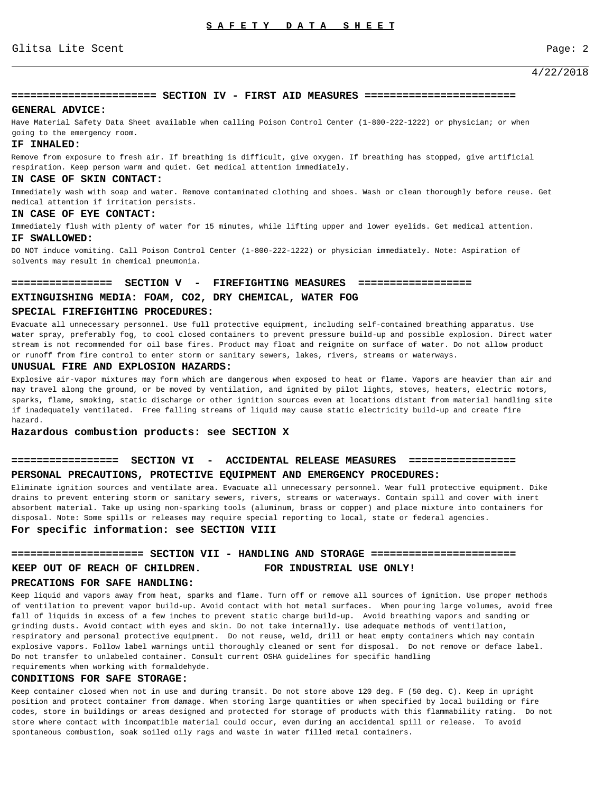# 4/22/2018

# **======================= SECTION IV - FIRST AID MEASURES ========================**

### **GENERAL ADVICE:**

Have Material Safety Data Sheet available when calling Poison Control Center (1-800-222-1222) or physician; or when going to the emergency room.

# **IF INHALED:**

Remove from exposure to fresh air. If breathing is difficult, give oxygen. If breathing has stopped, give artificial respiration. Keep person warm and quiet. Get medical attention immediately.

# **IN CASE OF SKIN CONTACT:**

Immediately wash with soap and water. Remove contaminated clothing and shoes. Wash or clean thoroughly before reuse. Get medical attention if irritation persists.

## **IN CASE OF EYE CONTACT:**

Immediately flush with plenty of water for 15 minutes, while lifting upper and lower eyelids. Get medical attention. **IF SWALLOWED:**

DO NOT induce vomiting. Call Poison Control Center (1-800-222-1222) or physician immediately. Note: Aspiration of solvents may result in chemical pneumonia.

# **================ SECTION V - FIREFIGHTING MEASURES ================== EXTINGUISHING MEDIA: FOAM, CO2, DRY CHEMICAL, WATER FOG**

# **SPECIAL FIREFIGHTING PROCEDURES:**

Evacuate all unnecessary personnel. Use full protective equipment, including self-contained breathing apparatus. Use water spray, preferably fog, to cool closed containers to prevent pressure build-up and possible explosion. Direct water stream is not recommended for oil base fires. Product may float and reignite on surface of water. Do not allow product or runoff from fire control to enter storm or sanitary sewers, lakes, rivers, streams or waterways.

# **UNUSUAL FIRE AND EXPLOSION HAZARDS:**

Explosive air-vapor mixtures may form which are dangerous when exposed to heat or flame. Vapors are heavier than air and may travel along the ground, or be moved by ventilation, and ignited by pilot lights, stoves, heaters, electric motors, sparks, flame, smoking, static discharge or other ignition sources even at locations distant from material handling site if inadequately ventilated. Free falling streams of liquid may cause static electricity build-up and create fire hazard.

**Hazardous combustion products: see SECTION X** 

# **================= SECTION VI - ACCIDENTAL RELEASE MEASURES ================= PERSONAL PRECAUTIONS, PROTECTIVE EQUIPMENT AND EMERGENCY PROCEDURES:**

Eliminate ignition sources and ventilate area. Evacuate all unnecessary personnel. Wear full protective equipment. Dike drains to prevent entering storm or sanitary sewers, rivers, streams or waterways. Contain spill and cover with inert absorbent material. Take up using non-sparking tools (aluminum, brass or copper) and place mixture into containers for disposal. Note: Some spills or releases may require special reporting to local, state or federal agencies. **For specific information: see SECTION VIII**

## **===================== SECTION VII - HANDLING AND STORAGE =======================**

**KEEP OUT OF REACH OF CHILDREN. FOR INDUSTRIAL USE ONLY!**

## **PRECATIONS FOR SAFE HANDLING:**

Keep liquid and vapors away from heat, sparks and flame. Turn off or remove all sources of ignition. Use proper methods of ventilation to prevent vapor build-up. Avoid contact with hot metal surfaces. When pouring large volumes, avoid free fall of liquids in excess of a few inches to prevent static charge build-up. Avoid breathing vapors and sanding or grinding dusts. Avoid contact with eyes and skin. Do not take internally. Use adequate methods of ventilation, respiratory and personal protective equipment. Do not reuse, weld, drill or heat empty containers which may contain explosive vapors. Follow label warnings until thoroughly cleaned or sent for disposal. Do not remove or deface label. Do not transfer to unlabeled container. Consult current OSHA guidelines for specific handling requirements when working with formaldehyde.

#### **CONDITIONS FOR SAFE STORAGE:**

Keep container closed when not in use and during transit. Do not store above 120 deg. F (50 deg. C). Keep in upright position and protect container from damage. When storing large quantities or when specified by local building or fire codes, store in buildings or areas designed and protected for storage of products with this flammability rating. Do not store where contact with incompatible material could occur, even during an accidental spill or release. To avoid spontaneous combustion, soak soiled oily rags and waste in water filled metal containers.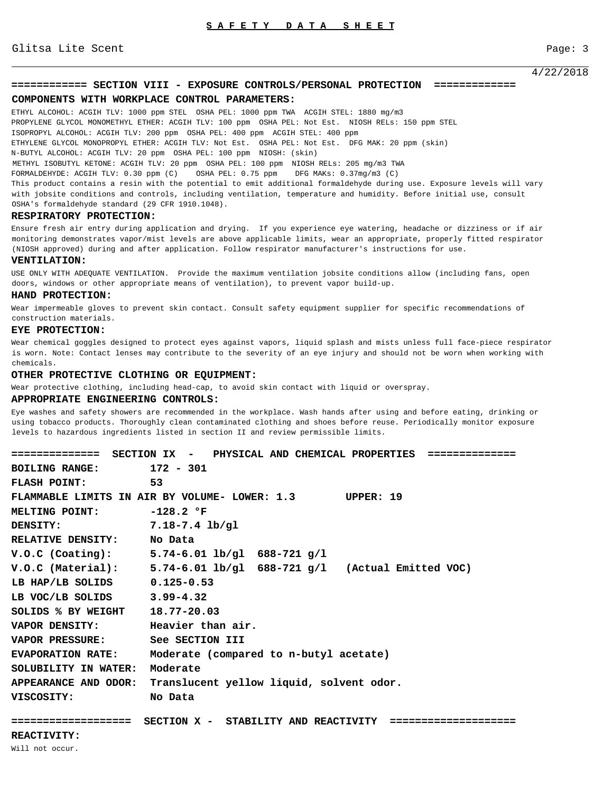4/22/2018

# **============ SECTION VIII - EXPOSURE CONTROLS/PERSONAL PROTECTION =============**

#### **COMPONENTS WITH WORKPLACE CONTROL PARAMETERS:**

ETHYL ALCOHOL: ACGIH TLV: 1000 ppm STEL OSHA PEL: 1000 ppm TWA ACGIH STEL: 1880 mg/m3 PROPYLENE GLYCOL MONOMETHYL ETHER: ACGIH TLV: 100 ppm OSHA PEL: Not Est. NIOSH RELs: 150 ppm STEL ISOPROPYL ALCOHOL: ACGIH TLV: 200 ppm OSHA PEL: 400 ppm ACGIH STEL: 400 ppm ETHYLENE GLYCOL MONOPROPYL ETHER: ACGIH TLV: Not Est. OSHA PEL: Not Est. DFG MAK: 20 ppm (skin) N-BUTYL ALCOHOL: ACGIH TLV: 20 ppm OSHA PEL: 100 ppm NIOSH: (skin) METHYL ISOBUTYL KETONE: ACGIH TLV: 20 ppm OSHA PEL: 100 ppm NIOSH RELs: 205 mg/m3 TWA FORMALDEHYDE: ACGIH TLV: 0.30 ppm (C) OSHA PEL: 0.75 ppm DFG MAKs: 0.37mg/m3 (C) This product contains a resin with the potential to emit additional formaldehyde during use. Exposure levels will vary

with jobsite conditions and controls, including ventilation, temperature and humidity. Before initial use, consult OSHA's formaldehyde standard (29 CFR 1910.1048).

## **RESPIRATORY PROTECTION:**

Ensure fresh air entry during application and drying. If you experience eye watering, headache or dizziness or if air monitoring demonstrates vapor/mist levels are above applicable limits, wear an appropriate, properly fitted respirator (NIOSH approved) during and after application. Follow respirator manufacturer's instructions for use.

#### **VENTILATION:**

USE ONLY WITH ADEQUATE VENTILATION. Provide the maximum ventilation jobsite conditions allow (including fans, open doors, windows or other appropriate means of ventilation), to prevent vapor build-up.

### **HAND PROTECTION:**

Wear impermeable gloves to prevent skin contact. Consult safety equipment supplier for specific recommendations of construction materials.

#### **EYE PROTECTION:**

Wear chemical goggles designed to protect eyes against vapors, liquid splash and mists unless full face-piece respirator is worn. Note: Contact lenses may contribute to the severity of an eye injury and should not be worn when working with chemicals.

# **OTHER PROTECTIVE CLOTHING OR EQUIPMENT:**

Wear protective clothing, including head-cap, to avoid skin contact with liquid or overspray.

# **APPROPRIATE ENGINEERING CONTROLS:**

Eye washes and safety showers are recommended in the workplace. Wash hands after using and before eating, drinking or using tobacco products. Thoroughly clean contaminated clothing and shoes before reuse. Periodically monitor exposure levels to hazardous ingredients listed in section II and review permissible limits.

|                                  | ============== SECTION IX -  PHYSICAL AND CHEMICAL PROPERTIES ============== |  |
|----------------------------------|------------------------------------------------------------------------------|--|
| BOILING RANGE: 172 - 301         |                                                                              |  |
| FLASH POINT: 53                  |                                                                              |  |
|                                  | FLAMMABLE LIMITS IN AIR BY VOLUME- LOWER: 1.3 UPPER: 19                      |  |
| MELTING POINT: -128.2 °F         |                                                                              |  |
| DENSITY:                         | $7.18-7.4$ lb/gl                                                             |  |
| RELATIVE DENSITY: No Data        |                                                                              |  |
|                                  | $V.O.C$ (Coating): $5.74-6.01$ lb/gl $688-721$ g/l                           |  |
|                                  | V.O.C (Material): $5.74-6.01 \text{ lb/gl}$ 688-721 g/l (Actual Emitted VOC) |  |
| LB HAP/LB SOLIDS 0.125-0.53      |                                                                              |  |
| LB VOC/LB SOLIDS 3.99-4.32       |                                                                              |  |
| SOLIDS % BY WEIGHT 18.77-20.03   |                                                                              |  |
| VAPOR DENSITY: Heavier than air. |                                                                              |  |
| VAPOR PRESSURE: See SECTION III  |                                                                              |  |
|                                  | EVAPORATION RATE: Moderate (compared to n-butyl acetate)                     |  |
| SOLUBILITY IN WATER:             | Moderate                                                                     |  |
|                                  | APPEARANCE AND ODOR: Translucent yellow liquid, solvent odor.                |  |
| VISCOSITY:                       | No Data                                                                      |  |
|                                  |                                                                              |  |
| ===================              | SECTION X - STABILITY AND REACTIVITY                                         |  |
| PFACTTVTTTTV                     |                                                                              |  |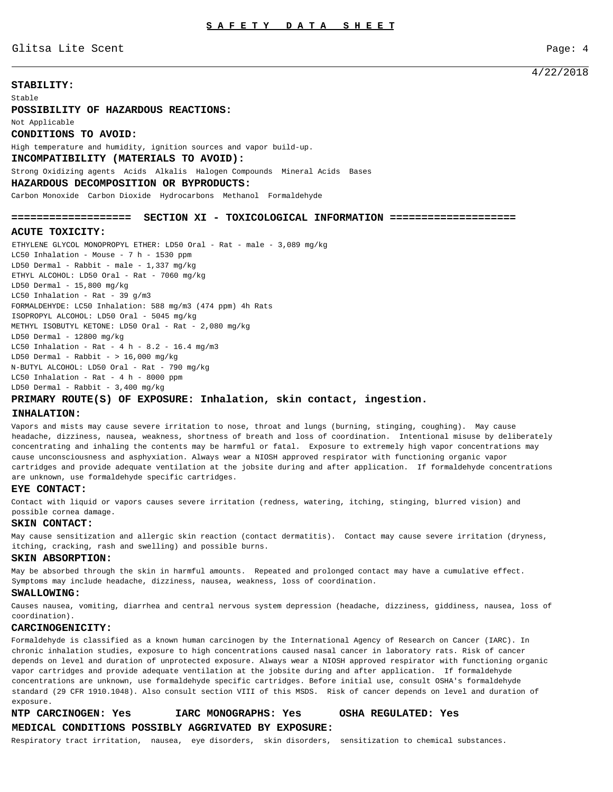Glitsa Lite Scent Page: 4

# 4/22/2018

# **STABILITY:**

Stable

**POSSIBILITY OF HAZARDOUS REACTIONS:** Not Applicable **CONDITIONS TO AVOID:** High temperature and humidity, ignition sources and vapor build-up. **INCOMPATIBILITY (MATERIALS TO AVOID):** Strong Oxidizing agents Acids Alkalis Halogen Compounds Mineral Acids Bases **HAZARDOUS DECOMPOSITION OR BYPRODUCTS:**

Carbon Monoxide Carbon Dioxide Hydrocarbons Methanol Formaldehyde

### **=================== SECTION XI - TOXICOLOGICAL INFORMATION ====================**

# **ACUTE TOXICITY:**

ETHYLENE GLYCOL MONOPROPYL ETHER: LD50 Oral - Rat - male - 3,089 mg/kg LC50 Inhalation - Mouse - 7 h - 1530 ppm LD50 Dermal - Rabbit - male - 1,337 mg/kg ETHYL ALCOHOL: LD50 Oral - Rat - 7060 mg/kg LD50 Dermal -  $15,800$  mg/kg LC50 Inhalation - Rat - 39  $g/m3$ FORMALDEHYDE: LC50 Inhalation: 588 mg/m3 (474 ppm) 4h Rats ISOPROPYL ALCOHOL: LD50 Oral - 5045 mg/kg METHYL ISOBUTYL KETONE: LD50 Oral - Rat - 2,080 mg/kg LD50 Dermal - 12800 mg/kg LC50 Inhalation - Rat - 4 h - 8.2 - 16.4 mg/m3 LD50 Dermal - Rabbit -  $> 16,000$  mg/kg N-BUTYL ALCOHOL: LD50 Oral - Rat - 790 mg/kg LC50 Inhalation - Rat -  $4 h - 8000$  ppm LD50 Dermal - Rabbit - 3,400 mg/kg

# **PRIMARY ROUTE(S) OF EXPOSURE: Inhalation, skin contact, ingestion.**

# **INHALATION:**

Vapors and mists may cause severe irritation to nose, throat and lungs (burning, stinging, coughing). May cause headache, dizziness, nausea, weakness, shortness of breath and loss of coordination. Intentional misuse by deliberately concentrating and inhaling the contents may be harmful or fatal. Exposure to extremely high vapor concentrations may cause unconsciousness and asphyxiation. Always wear a NIOSH approved respirator with functioning organic vapor cartridges and provide adequate ventilation at the jobsite during and after application. If formaldehyde concentrations are unknown, use formaldehyde specific cartridges.

#### **EYE CONTACT:**

Contact with liquid or vapors causes severe irritation (redness, watering, itching, stinging, blurred vision) and possible cornea damage.

#### **SKIN CONTACT:**

May cause sensitization and allergic skin reaction (contact dermatitis). Contact may cause severe irritation (dryness, itching, cracking, rash and swelling) and possible burns.

### **SKIN ABSORPTION:**

May be absorbed through the skin in harmful amounts. Repeated and prolonged contact may have a cumulative effect. Symptoms may include headache, dizziness, nausea, weakness, loss of coordination.

#### **SWALLOWING:**

Causes nausea, vomiting, diarrhea and central nervous system depression (headache, dizziness, giddiness, nausea, loss of coordination).

## **CARCINOGENICITY:**

Formaldehyde is classified as a known human carcinogen by the International Agency of Research on Cancer (IARC). In chronic inhalation studies, exposure to high concentrations caused nasal cancer in laboratory rats. Risk of cancer depends on level and duration of unprotected exposure. Always wear a NIOSH approved respirator with functioning organic vapor cartridges and provide adequate ventilation at the jobsite during and after application. If formaldehyde concentrations are unknown, use formaldehyde specific cartridges. Before initial use, consult OSHA's formaldehyde standard (29 CFR 1910.1048). Also consult section VIII of this MSDS. Risk of cancer depends on level and duration of exposure.

# **NTP CARCINOGEN: Yes IARC MONOGRAPHS: Yes OSHA REGULATED: Yes MEDICAL CONDITIONS POSSIBLY AGGRIVATED BY EXPOSURE:**

Respiratory tract irritation, nausea, eye disorders, skin disorders, sensitization to chemical substances.